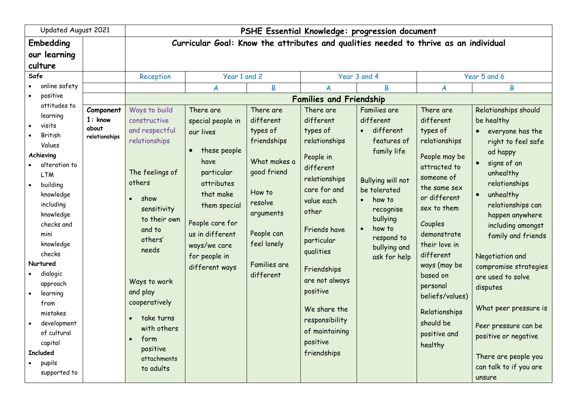| Updated August 2021                                                                                                                                                                                                                                                                                                                    |                                                           | PSHE Essential Knowledge: progression document                                                                                                                                                                                                                         |                                                                                                                                                                                                                                                                        |                                                                                                                                                                                   |                                                                                                                                                                                                                                                                                                        |                                                                                                                                                                                                                                                                  |                                                                                                                                                                                                                                                                                                         |                                                                                                                                                                                                                                                                                                                                                                                            |
|----------------------------------------------------------------------------------------------------------------------------------------------------------------------------------------------------------------------------------------------------------------------------------------------------------------------------------------|-----------------------------------------------------------|------------------------------------------------------------------------------------------------------------------------------------------------------------------------------------------------------------------------------------------------------------------------|------------------------------------------------------------------------------------------------------------------------------------------------------------------------------------------------------------------------------------------------------------------------|-----------------------------------------------------------------------------------------------------------------------------------------------------------------------------------|--------------------------------------------------------------------------------------------------------------------------------------------------------------------------------------------------------------------------------------------------------------------------------------------------------|------------------------------------------------------------------------------------------------------------------------------------------------------------------------------------------------------------------------------------------------------------------|---------------------------------------------------------------------------------------------------------------------------------------------------------------------------------------------------------------------------------------------------------------------------------------------------------|--------------------------------------------------------------------------------------------------------------------------------------------------------------------------------------------------------------------------------------------------------------------------------------------------------------------------------------------------------------------------------------------|
| Embedding<br>our learning                                                                                                                                                                                                                                                                                                              |                                                           |                                                                                                                                                                                                                                                                        | Curricular Goal: Know the attributes and qualities needed to thrive as an individual                                                                                                                                                                                   |                                                                                                                                                                                   |                                                                                                                                                                                                                                                                                                        |                                                                                                                                                                                                                                                                  |                                                                                                                                                                                                                                                                                                         |                                                                                                                                                                                                                                                                                                                                                                                            |
| culture<br>Safe<br>online safety<br>positive<br>attitudes to<br>learning<br>visits<br>British<br>Values<br>Achieving<br>alteration to<br><b>LTM</b><br>building<br>knowledge<br>including<br>knowledge<br>checks and<br>mini<br>knowledge<br>checks<br>Nurtured<br>dialogic<br>approach<br>learning<br>from<br>mistakes<br>development | Component<br>$1:$ know<br>about<br>relationships          | Reception<br>Ways to build<br>constructive<br>and respectful<br>relationships<br>The feelings of<br>others<br>show<br>$\bullet$<br>sensitivity<br>to their own<br>and to<br>others'<br>needs<br>Ways to work<br>and play<br>cooperatively<br>take turns<br>with others | Year 1 and 2<br>$\boldsymbol{A}$<br>There are<br>special people in<br>our lives<br>these people<br>$\bullet$<br>have<br>particular<br>attributes<br>that make<br>them special<br>People care for<br>us in different<br>ways/we care<br>for people in<br>different ways | B<br>There are<br>different<br>types of<br>friendships<br>What makes a<br>good friend<br>How to<br>resolve<br>arguments<br>People can<br>feel lonely<br>Families are<br>different | A<br><b>Families and Friendship</b><br>There are<br>different<br>types of<br>relationships<br>People in<br>different<br>relationships<br>care for and<br>value each<br>other<br>Friends have<br>particular<br>qualities<br>Friendships<br>are not always<br>positive<br>We share the<br>responsibility | Year 3 and 4<br>B<br>Families are<br>different<br>different<br>$\bullet$<br>features of<br>family life<br>Bullying will not<br>be tolerated<br>how to<br>$\bullet$<br>recognise<br>bullying<br>how to<br>$\bullet$<br>respond to<br>bullying and<br>ask for help | A<br>There are<br>different<br>types of<br>relationships<br>People may be<br>attracted to<br>someone of<br>the same sex<br>or different<br>sex to them<br>Couples<br>demonstrate<br>their love in<br>different<br>ways (may be<br>based on<br>personal<br>beliefs/values)<br>Relationships<br>should be | Year 5 and 6<br>B<br>Relationships should<br>be healthy<br>• everyone has the<br>right to feel safe<br>ad happy<br>signs of an<br>unhealthy<br>relationships<br>unhealthy<br>relationships can<br>happen anywhere<br>including amongst<br>family and friends<br>Negotiation and<br>compromise strategies<br>are used to solve<br>disputes<br>What peer pressure is<br>Peer pressure can be |
| of cultural<br>capital<br><b>Included</b><br>pupils<br>supported to                                                                                                                                                                                                                                                                    | form<br>$\bullet$<br>positive<br>attachments<br>to adults |                                                                                                                                                                                                                                                                        |                                                                                                                                                                                                                                                                        | of maintaining<br>positive<br>friendships                                                                                                                                         |                                                                                                                                                                                                                                                                                                        | positive and<br>healthy                                                                                                                                                                                                                                          | positive or negative<br>There are people you<br>can talk to if you are<br>unsure                                                                                                                                                                                                                        |                                                                                                                                                                                                                                                                                                                                                                                            |